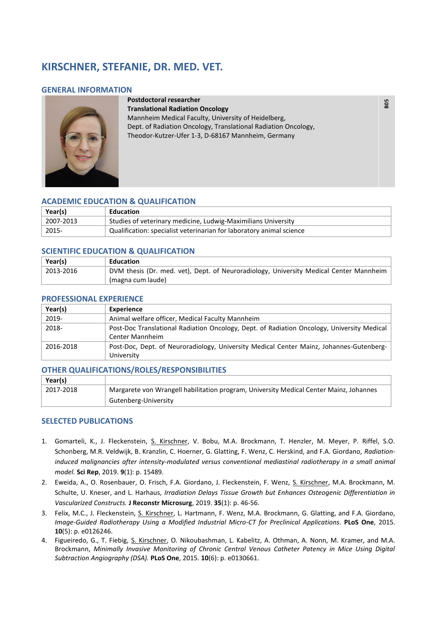# **KIRSCHNER, STEFANIE, DR. MED. VET.**

### **GENERAL INFORMATION**



**Postdoctoral researcher Translational Radiation Oncology** Mannheim Medical Faculty, University of Heidelberg, Dept. of Radiation Oncology, Translational Radiation Oncology, Theodor-Kutzer-Ufer 1-3, D-68167 Mannheim, Germany

 **B05** 

## **ACADEMIC EDUCATION & QUALIFICATION**

| Year(s)          | Education                                                            |
|------------------|----------------------------------------------------------------------|
| 2007-2013        | Studies of veterinary medicine, Ludwig-Maximilians University        |
| $^{\circ}$ 2015- | Qualification: specialist veterinarian for laboratory animal science |

### **SCIENTIFIC EDUCATION & QUALIFICATION**

| Year(s)   | Education                                                                              |
|-----------|----------------------------------------------------------------------------------------|
| 2013-2016 | DVM thesis (Dr. med. vet), Dept. of Neuroradiology, University Medical Center Mannheim |
|           | <sup> </sup> (magna cum laude)                                                         |

#### **PROFESSIONAL EXPERIENCE**

| Year(s)   | <b>Experience</b>                                                                          |
|-----------|--------------------------------------------------------------------------------------------|
| 2019-     | Animal welfare officer, Medical Faculty Mannheim                                           |
| 2018-     | Post-Doc Translational Radiation Oncology, Dept. of Radiation Oncology, University Medical |
|           | <b>Center Mannheim</b>                                                                     |
| 2016-2018 | Post-Doc, Dept. of Neuroradiology, University Medical Center Mainz, Johannes-Gutenberg-    |
|           | University                                                                                 |

### **OTHER QUALIFICATIONS/ROLES/RESPONSIBILITIES**

| Year(s)   |                                                                                        |
|-----------|----------------------------------------------------------------------------------------|
| 2017-2018 | Margarete von Wrangell habilitation program, University Medical Center Mainz, Johannes |
|           | Gutenberg-University                                                                   |

### **SELECTED PUBLICATIONS**

- 1. Gomarteli, K., J. Fleckenstein, S. Kirschner, V. Bobu, M.A. Brockmann, T. Henzler, M. Meyer, P. Riffel, S.O. Schonberg, M.R. Veldwijk, B. Kranzlin, C. Hoerner, G. Glatting, F. Wenz, C. Herskind, and F.A. Giordano, *Radiationinduced malignancies after intensity-modulated versus conventional mediastinal radiotherapy in a small animal model.* **Sci Rep**, 2019. **9**(1): p. 15489.
- 2. Eweida, A., O. Rosenbauer, O. Frisch, F.A. Giordano, J. Fleckenstein, F. Wenz, S. Kirschner, M.A. Brockmann, M. Schulte, U. Kneser, and L. Harhaus, *Irradiation Delays Tissue Growth but Enhances Osteogenic Differentiation in Vascularized Constructs.* **J Reconstr Microsurg**, 2019. **35**(1): p. 46-56.
- 3. Felix, M.C., J. Fleckenstein, S. Kirschner, L. Hartmann, F. Wenz, M.A. Brockmann, G. Glatting, and F.A. Giordano, *Image-Guided Radiotherapy Using a Modified Industrial Micro-CT for Preclinical Applications.* **PLoS One**, 2015. **10**(5): p. e0126246.
- 4. Figueiredo, G., T. Fiebig, S. Kirschner, O. Nikoubashman, L. Kabelitz, A. Othman, A. Nonn, M. Kramer, and M.A. Brockmann, *Minimally Invasive Monitoring of Chronic Central Venous Catheter Patency in Mice Using Digital Subtraction Angiography (DSA).* **PLoS One**, 2015. **10**(6): p. e0130661.